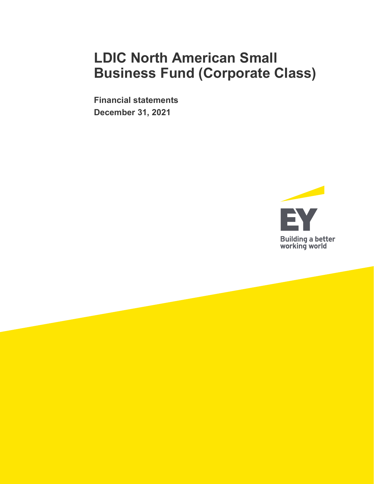**Financial statements December 31, 2021** 

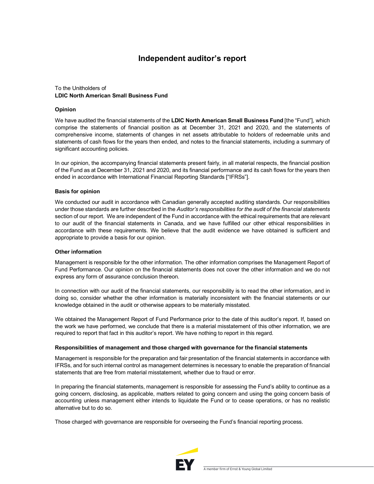# **Independent auditor's report**

### To the Unitholders of **LDIC North American Small Business Fund**

#### **Opinion**

We have audited the financial statements of the **LDIC North American Small Business Fund** [the "Fund"], which comprise the statements of financial position as at December 31, 2021 and 2020, and the statements of comprehensive income, statements of changes in net assets attributable to holders of redeemable units and statements of cash flows for the years then ended, and notes to the financial statements, including a summary of significant accounting policies.

In our opinion, the accompanying financial statements present fairly, in all material respects, the financial position of the Fund as at December 31, 2021 and 2020, and its financial performance and its cash flows for the years then ended in accordance with International Financial Reporting Standards ["IFRSs"].

### **Basis for opinion**

We conducted our audit in accordance with Canadian generally accepted auditing standards. Our responsibilities under those standards are further described in the *Auditor's responsibilities for the audit of the financial statements*  section of our report. We are independent of the Fund in accordance with the ethical requirements that are relevant to our audit of the financial statements in Canada, and we have fulfilled our other ethical responsibilities in accordance with these requirements. We believe that the audit evidence we have obtained is sufficient and appropriate to provide a basis for our opinion.

#### **Other information**

Management is responsible for the other information. The other information comprises the Management Report of Fund Performance. Our opinion on the financial statements does not cover the other information and we do not express any form of assurance conclusion thereon.

In connection with our audit of the financial statements, our responsibility is to read the other information, and in doing so, consider whether the other information is materially inconsistent with the financial statements or our knowledge obtained in the audit or otherwise appears to be materially misstated.

We obtained the Management Report of Fund Performance prior to the date of this auditor's report. If, based on the work we have performed, we conclude that there is a material misstatement of this other information, we are required to report that fact in this auditor's report. We have nothing to report in this regard.

### **Responsibilities of management and those charged with governance for the financial statements**

Management is responsible for the preparation and fair presentation of the financial statements in accordance with IFRSs, and for such internal control as management determines is necessary to enable the preparation of financial statements that are free from material misstatement, whether due to fraud or error.

In preparing the financial statements, management is responsible for assessing the Fund's ability to continue as a going concern, disclosing, as applicable, matters related to going concern and using the going concern basis of accounting unless management either intends to liquidate the Fund or to cease operations, or has no realistic alternative but to do so.

Those charged with governance are responsible for overseeing the Fund's financial reporting process.

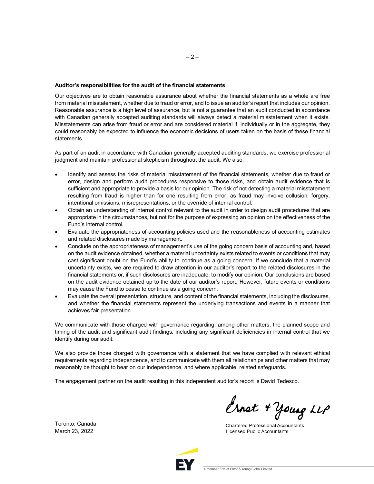#### **Auditor's responsibilities for the audit of the financial statements**

Our objectives are to obtain reasonable assurance about whether the financial statements as a whole are free from material misstatement, whether due to fraud or error, and to issue an auditor's report that includes our opinion. Reasonable assurance is a high level of assurance, but is not a guarantee that an audit conducted in accordance with Canadian generally accepted auditing standards will always detect a material misstatement when it exists. Misstatements can arise from fraud or error and are considered material if, individually or in the aggregate, they could reasonably be expected to influence the economic decisions of users taken on the basis of these financial statements.

As part of an audit in accordance with Canadian generally accepted auditing standards, we exercise professional judgment and maintain professional skepticism throughout the audit. We also:

- Identify and assess the risks of material misstatement of the financial statements, whether due to fraud or error, design and perform audit procedures responsive to those risks, and obtain audit evidence that is sufficient and appropriate to provide a basis for our opinion. The risk of not detecting a material misstatement resulting from fraud is higher than for one resulting from error, as fraud may involve collusion, forgery, intentional omissions, misrepresentations, or the override of internal control.
- Obtain an understanding of internal control relevant to the audit in order to design audit procedures that are appropriate in the circumstances, but not for the purpose of expressing an opinion on the effectiveness of the Fund's internal control.
- Evaluate the appropriateness of accounting policies used and the reasonableness of accounting estimates and related disclosures made by management.
- Conclude on the appropriateness of management's use of the going concern basis of accounting and, based on the audit evidence obtained, whether a material uncertainty exists related to events or conditions that may cast significant doubt on the Fund's ability to continue as a going concern. If we conclude that a material uncertainty exists, we are required to draw attention in our auditor's report to the related disclosures in the financial statements or, if such disclosures are inadequate, to modify our opinion. Our conclusions are based on the audit evidence obtained up to the date of our auditor's report. However, future events or conditions may cause the Fund to cease to continue as a going concern.
- Evaluate the overall presentation, structure, and content of the financial statements, including the disclosures, and whether the financial statements represent the underlying transactions and events in a manner that achieves fair presentation.

We communicate with those charged with governance regarding, among other matters, the planned scope and timing of the audit and significant audit findings, including any significant deficiencies in internal control that we identify during our audit.

We also provide those charged with governance with a statement that we have complied with relevant ethical requirements regarding independence, and to communicate with them all relationships and other matters that may reasonably be thought to bear on our independence, and where applicable, related safeguards.

The engagement partner on the audit resulting in this independent auditor's report is David Tedesco.

Ernst + Young LLP

**Chartered Professional Accountants Licensed Public Accountants** 



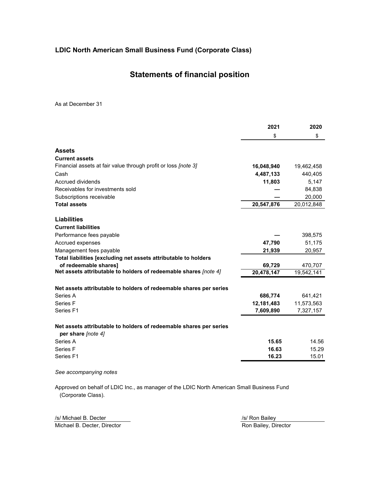# **Statements of financial position**

As at December 31

|                                                                                          | 2021       | 2020       |
|------------------------------------------------------------------------------------------|------------|------------|
|                                                                                          | \$         | \$         |
| <b>Assets</b>                                                                            |            |            |
| <b>Current assets</b>                                                                    |            |            |
| Financial assets at fair value through profit or loss [note 3]                           | 16,048,940 | 19,462,458 |
| Cash                                                                                     | 4,487,133  | 440,405    |
| Accrued dividends                                                                        | 11,803     | 5,147      |
| Receivables for investments sold                                                         |            | 84,838     |
| Subscriptions receivable                                                                 |            | 20,000     |
| <b>Total assets</b>                                                                      | 20,547,876 | 20,012,848 |
| Liabilities                                                                              |            |            |
| <b>Current liabilities</b>                                                               |            |            |
| Performance fees payable                                                                 |            | 398,575    |
| Accrued expenses                                                                         | 47,790     | 51,175     |
| Management fees payable                                                                  | 21,939     | 20,957     |
| Total liabilities [excluding net assets attributable to holders                          |            |            |
| of redeemable shares]                                                                    | 69,729     | 470,707    |
| Net assets attributable to holders of redeemable shares [note 4]                         | 20,478,147 | 19,542,141 |
| Net assets attributable to holders of redeemable shares per series                       |            |            |
| Series A                                                                                 | 686,774    | 641,421    |
| Series F                                                                                 | 12,181,483 | 11,573,563 |
| Series <sub>F1</sub>                                                                     | 7,609,890  | 7,327,157  |
| Net assets attributable to holders of redeemable shares per series<br>per share [note 4] |            |            |
| Series A                                                                                 | 15.65      | 14.56      |
| Series F                                                                                 | 16.63      | 15.29      |
| Series <sub>F1</sub>                                                                     | 16.23      | 15.01      |

*See accompanying notes*

Approved on behalf of LDIC Inc., as manager of the LDIC North American Small Business Fund (Corporate Class).

/s/ Michael B. Decter /s/ Annual and Alley /s/ Ron Bailey Michael B. Decter, Director **Ron Bailey, Director** Ron Bailey, Director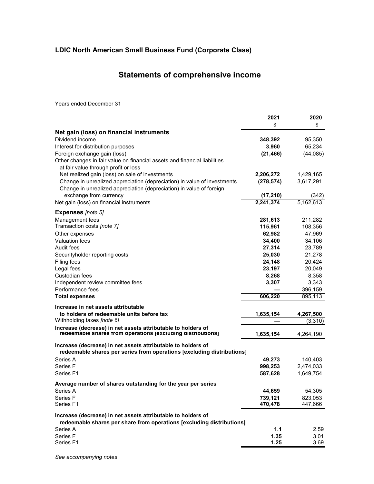# **Statements of comprehensive income**

Years ended December 31

|                                                                                                                                                  | 2021               | 2020               |
|--------------------------------------------------------------------------------------------------------------------------------------------------|--------------------|--------------------|
|                                                                                                                                                  | \$                 | \$                 |
| Net gain (loss) on financial instruments                                                                                                         |                    |                    |
| Dividend income                                                                                                                                  | 348,392            | 95,350             |
| Interest for distribution purposes                                                                                                               | 3,960              | 65,234             |
| Foreign exchange gain (loss)                                                                                                                     | (21, 466)          | (44, 085)          |
| Other changes in fair value on financial assets and financial liabilities<br>at fair value through profit or loss                                |                    |                    |
| Net realized gain (loss) on sale of investments                                                                                                  | 2,206,272          | 1,429,165          |
| Change in unrealized appreciation (depreciation) in value of investments<br>Change in unrealized appreciation (depreciation) in value of foreign | (278, 574)         | 3,617,291          |
| exchange from currency                                                                                                                           | (17, 210)          | (342)              |
| Net gain (loss) on financial instruments                                                                                                         | 2,241,374          | 5,162,613          |
| <b>Expenses</b> [note 5]                                                                                                                         |                    |                    |
|                                                                                                                                                  |                    |                    |
| Management fees<br>Transaction costs [note 7]                                                                                                    | 281,613<br>115,961 | 211,282<br>108,356 |
|                                                                                                                                                  |                    | 47,969             |
| Other expenses<br>Valuation fees                                                                                                                 | 62,982<br>34,400   |                    |
| Audit fees                                                                                                                                       |                    | 34,106             |
|                                                                                                                                                  | 27,314<br>25,030   | 23,789<br>21,278   |
| Securityholder reporting costs                                                                                                                   |                    | 20,424             |
| Filing fees<br>Legal fees                                                                                                                        | 24,148<br>23,197   | 20,049             |
| Custodian fees                                                                                                                                   |                    | 8,358              |
|                                                                                                                                                  | 8,268              | 3,343              |
| Independent review committee fees<br>Performance fees                                                                                            | 3,307              |                    |
| <b>Total expenses</b>                                                                                                                            | 606,220            | 396,159<br>895,113 |
|                                                                                                                                                  |                    |                    |
| Increase in net assets attributable                                                                                                              |                    |                    |
| to holders of redeemable units before tax                                                                                                        | 1,635,154          | 4,267,500          |
| Withholding taxes [note 6]                                                                                                                       |                    | (3,310)            |
| Increase (decrease) in net assets attributable to holders of<br>redeemable shares from operations [excluding distributions]                      | 1,635,154          | 4,264,190          |
| Increase (decrease) in net assets attributable to holders of<br>redeemable shares per series from operations [excluding distributions]           |                    |                    |
| Series A                                                                                                                                         | 49,273             | 140.403            |
| Series F                                                                                                                                         | 998,253            | 2,474,033          |
| Series F1                                                                                                                                        | 587,628            | 1,649,754          |
| Average number of shares outstanding for the year per series                                                                                     |                    |                    |
| Series A                                                                                                                                         | 44,659             | 54,305             |
| Series F                                                                                                                                         | 739,121            | 823,053            |
| Series F1                                                                                                                                        | 470,478            | 447,666            |
| Increase (decrease) in net assets attributable to holders of<br>redeemable shares per share from operations [excluding distributions]            |                    |                    |
| Series A                                                                                                                                         | 1.1                | 2.59               |
| Series F                                                                                                                                         | 1.35               | 3.01               |
| Series F1                                                                                                                                        | 1.25               | 3.69               |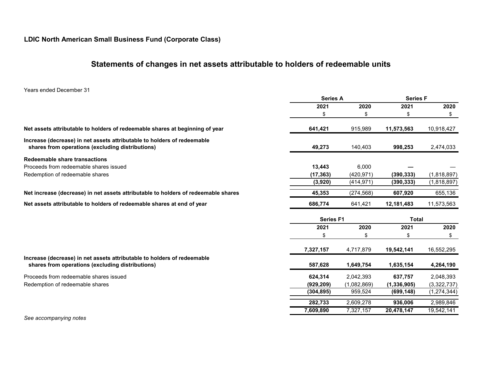# **Statements of changes in net assets attributable to holders of redeemable units**

### Years ended December 31

|                                                                                                                             |                      | <b>Series A</b> |               | <b>Series F</b> |
|-----------------------------------------------------------------------------------------------------------------------------|----------------------|-----------------|---------------|-----------------|
|                                                                                                                             | 2021                 | 2020            | 2021          | 2020            |
|                                                                                                                             | \$                   | \$              | \$            | \$              |
| Net assets attributable to holders of redeemable shares at beginning of year                                                | 641,421              | 915,989         | 11,573,563    | 10,918,427      |
| Increase (decrease) in net assets attributable to holders of redeemable<br>shares from operations (excluding distributions) | 49,273               | 140,403         | 998,253       | 2,474,033       |
| Redeemable share transactions                                                                                               |                      |                 |               |                 |
| Proceeds from redeemable shares issued                                                                                      | 13,443               | 6,000           |               |                 |
| Redemption of redeemable shares                                                                                             | (17, 363)            | (420, 971)      | (390, 333)    | (1,818,897)     |
|                                                                                                                             | (3,920)              | (414, 971)      | (390, 333)    | (1,818,897)     |
| Net increase (decrease) in net assets attributable to holders of redeemable shares                                          | 45,353               | (274, 568)      | 607,920       | 655,136         |
| Net assets attributable to holders of redeemable shares at end of year                                                      | 686,774              | 641,421         | 12,181,483    | 11,573,563      |
|                                                                                                                             | Series <sub>F1</sub> |                 | <b>Total</b>  |                 |
|                                                                                                                             | 2021                 | 2020            | 2021          | 2020            |
|                                                                                                                             | \$                   | \$              | \$            | \$              |
|                                                                                                                             | 7,327,157            | 4,717,879       | 19,542,141    | 16,552,295      |
| Increase (decrease) in net assets attributable to holders of redeemable<br>shares from operations (excluding distributions) | 587,628              | 1,649,754       | 1,635,154     | 4,264,190       |
| Proceeds from redeemable shares issued                                                                                      | 624,314              | 2,042,393       | 637,757       | 2,048,393       |
| Redemption of redeemable shares                                                                                             | (929, 209)           | (1,082,869)     | (1, 336, 905) | (3,322,737)     |
|                                                                                                                             | (304, 895)           | 959,524         | (699, 148)    | (1, 274, 344)   |
|                                                                                                                             | 282,733              | 2,609,278       | 936.006       | 2,989,846       |
|                                                                                                                             | 7,609,890            | 7,327,157       | 20,478,147    | 19,542,141      |
| See accompanying notes                                                                                                      |                      |                 |               |                 |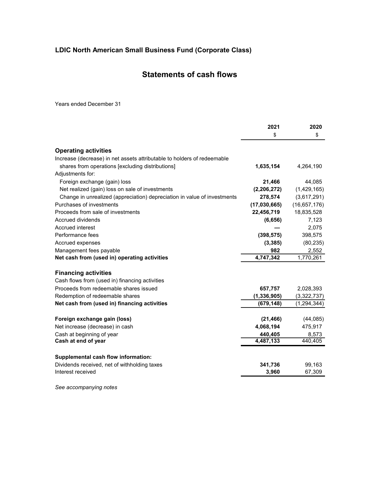# **Statements of cash flows**

Years ended December 31

|                                                                          | 2021          | 2020          |
|--------------------------------------------------------------------------|---------------|---------------|
|                                                                          | \$            | \$            |
| <b>Operating activities</b>                                              |               |               |
| Increase (decrease) in net assets attributable to holders of redeemable  |               |               |
| shares from operations [excluding distributions]                         | 1,635,154     | 4,264,190     |
| Adjustments for:                                                         |               |               |
| Foreign exchange (gain) loss                                             | 21,466        | 44,085        |
| Net realized (gain) loss on sale of investments                          | (2, 206, 272) | (1,429,165)   |
| Change in unrealized (appreciation) depreciation in value of investments | 278,574       | (3,617,291)   |
| Purchases of investments                                                 | (17,030,665)  | (16,657,176)  |
| Proceeds from sale of investments                                        | 22,456,719    | 18,835,528    |
| Accrued dividends                                                        | (6,656)       | 7,123         |
| <b>Accrued interest</b>                                                  |               | 2,075         |
| Performance fees                                                         | (398, 575)    | 398,575       |
| Accrued expenses                                                         | (3, 385)      | (80, 235)     |
| Management fees payable                                                  | 982           | 2,552         |
| Net cash from (used in) operating activities                             | 4,747,342     | 1,770,261     |
| <b>Financing activities</b>                                              |               |               |
| Cash flows from (used in) financing activities                           |               |               |
| Proceeds from redeemable shares issued                                   | 657,757       | 2,028,393     |
| Redemption of redeemable shares                                          | (1, 336, 905) | (3,322,737)   |
| Net cash from (used in) financing activities                             | (679, 148)    | (1, 294, 344) |
| Foreign exchange gain (loss)                                             | (21, 466)     | (44, 085)     |
| Net increase (decrease) in cash                                          | 4,068,194     | 475,917       |
| Cash at beginning of year                                                | 440,405       | 8,573         |
| Cash at end of year                                                      | 4,487,133     | 440,405       |
|                                                                          |               |               |
| Supplemental cash flow information:                                      |               |               |
| Dividends received, net of withholding taxes                             | 341,736       | 99,163        |
| Interest received                                                        | 3,960         | 67,309        |

*See accompanying notes*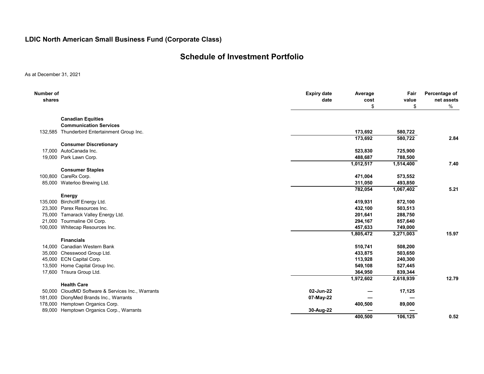# **Schedule of Investment Portfolio**

#### As at December 31, 2021

| <b>Number of</b> |                                                   | <b>Expiry date</b> | Average      | Fair      | Percentage of |
|------------------|---------------------------------------------------|--------------------|--------------|-----------|---------------|
| shares           |                                                   |                    | date<br>cost | value     | net assets    |
|                  |                                                   |                    | \$           | \$        | %             |
|                  | <b>Canadian Equities</b>                          |                    |              |           |               |
|                  | <b>Communication Services</b>                     |                    |              |           |               |
|                  | 132,585 Thunderbird Entertainment Group Inc.      |                    | 173,692      | 580,722   |               |
|                  |                                                   |                    | 173,692      | 580,722   | 2.84          |
|                  | <b>Consumer Discretionary</b>                     |                    |              |           |               |
|                  | 17,000 AutoCanada Inc.                            |                    | 523,830      | 725,900   |               |
|                  | 19,000 Park Lawn Corp.                            |                    | 488,687      | 788,500   |               |
|                  |                                                   |                    | 1,012,517    | 1,514,400 | 7.40          |
|                  | <b>Consumer Staples</b>                           |                    |              |           |               |
|                  | 100,800 CareRx Corp.                              |                    | 471,004      | 573,552   |               |
|                  | 85,000 Waterloo Brewing Ltd.                      |                    | 311,050      | 493,850   |               |
|                  |                                                   |                    | 782,054      | 1,067,402 | 5.21          |
|                  | <b>Energy</b>                                     |                    |              |           |               |
|                  | 135,000 Birchcliff Energy Ltd.                    |                    | 419,931      | 872,100   |               |
|                  | 23,300 Parex Resources Inc.                       |                    | 432,100      | 503,513   |               |
|                  | 75,000 Tamarack Valley Energy Ltd.                |                    | 201,641      | 288,750   |               |
|                  | 21,000 Tourmaline Oil Corp.                       |                    | 294,167      | 857,640   |               |
|                  | 100,000 Whitecap Resources Inc.                   |                    | 457,633      | 749,000   |               |
|                  |                                                   |                    | 1,805,472    | 3,271,003 | 15.97         |
|                  | <b>Financials</b>                                 |                    |              |           |               |
|                  | 14.000 Canadian Western Bank                      |                    | 510,741      | 508,200   |               |
|                  | 35,000 Chesswood Group Ltd.                       |                    | 433,875      | 503,650   |               |
|                  | 45,000 ECN Capital Corp.                          |                    | 113,928      | 240,300   |               |
|                  | 13,500 Home Capital Group Inc.                    |                    | 549,108      | 527,445   |               |
|                  | 17,600 Trisura Group Ltd.                         |                    | 364,950      | 839,344   |               |
|                  |                                                   |                    | 1,972,602    | 2,618,939 | 12.79         |
|                  | <b>Health Care</b>                                |                    |              |           |               |
|                  | 50,000 CloudMD Software & Services Inc., Warrants | 02-Jun-22          |              | 17,125    |               |
|                  | 181,000 DionyMed Brands Inc., Warrants            | 07-May-22          |              |           |               |
|                  | 178,000 Hemptown Organics Corp.                   |                    | 400,500      | 89,000    |               |
|                  | 89,000 Hemptown Organics Corp., Warrants          | 30-Aug-22          |              |           |               |
|                  |                                                   |                    | 400,500      | 106,125   | 0.52          |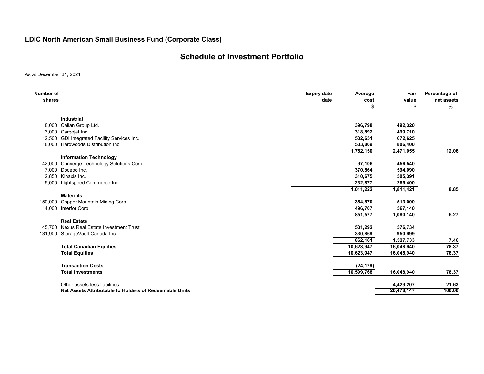# **Schedule of Investment Portfolio**

#### As at December 31, 2021

| Number of<br>shares |                                                        | <b>Expiry date</b><br>date | Average<br>cost | Fair<br>value | Percentage of<br>net assets |
|---------------------|--------------------------------------------------------|----------------------------|-----------------|---------------|-----------------------------|
|                     |                                                        |                            | \$              | \$            | %                           |
|                     |                                                        |                            |                 |               |                             |
|                     | Industrial                                             |                            |                 |               |                             |
|                     | 8,000 Calian Group Ltd.                                |                            | 396,798         | 492,320       |                             |
|                     | 3,000 Cargojet Inc.                                    |                            | 318,892         | 499,710       |                             |
|                     | 12,500 GDI Integrated Facility Services Inc.           |                            | 502,651         | 672,625       |                             |
|                     | 18,000 Hardwoods Distribution Inc.                     |                            | 533,809         | 806,400       |                             |
|                     |                                                        |                            | 1,752,150       | 2,471,055     | 12.06                       |
|                     | <b>Information Technology</b>                          |                            |                 |               |                             |
|                     | 42,000 Converge Technology Solutions Corp.             |                            | 97,106          | 456,540       |                             |
|                     | 7.000 Docebo Inc.                                      |                            | 370,564         | 594,090       |                             |
|                     | 2.850 Kinaxis Inc.                                     |                            | 310,675         | 505,391       |                             |
|                     | 5,000 Lightspeed Commerce Inc.                         |                            | 232,877         | 255,400       |                             |
|                     |                                                        |                            | 1,011,222       | 1,811,421     | 8.85                        |
|                     | <b>Materials</b>                                       |                            |                 |               |                             |
|                     | 150,000 Copper Mountain Mining Corp.                   |                            | 354,870         | 513,000       |                             |
|                     | 14,000 Interfor Corp.                                  |                            | 496,707         | 567,140       |                             |
|                     |                                                        |                            | 851,577         | 1,080,140     | 5.27                        |
|                     | <b>Real Estate</b>                                     |                            |                 |               |                             |
|                     | 45.700 Nexus Real Estate Investment Trust              |                            | 531,292         | 576,734       |                             |
|                     | 131,900 StorageVault Canada Inc.                       |                            | 330,869         | 950,999       |                             |
|                     |                                                        |                            | 862,161         | 1,527,733     | 7.46                        |
|                     | <b>Total Canadian Equities</b>                         |                            | 10,623,947      | 16,048,940    | 78.37                       |
|                     | <b>Total Equities</b>                                  |                            | 10,623,947      | 16,048,940    | 78.37                       |
|                     | <b>Transaction Costs</b>                               |                            | (24, 179)       |               |                             |
|                     | <b>Total Investments</b>                               |                            | 10,599,768      | 16,048,940    | 78.37                       |
|                     | Other assets less liabilities                          |                            |                 | 4,429,207     | 21.63                       |
|                     | Net Assets Attributable to Holders of Redeemable Units |                            |                 | 20,478,147    | 100.00                      |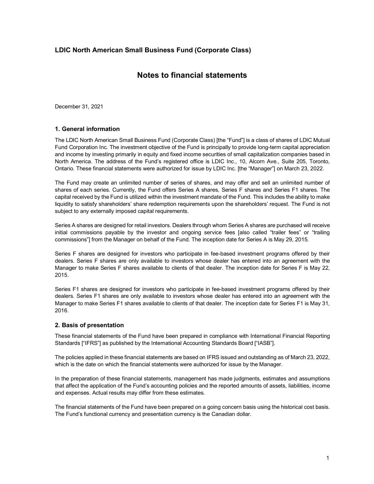# **Notes to financial statements**

December 31, 2021

### **1. General information**

The LDIC North American Small Business Fund (Corporate Class) [the "Fund"] is a class of shares of LDIC Mutual Fund Corporation Inc. The investment objective of the Fund is principally to provide long-term capital appreciation and income by investing primarily in equity and fixed income securities of small capitalization companies based in North America. The address of the Fund's registered office is LDIC Inc., 10, Alcorn Ave., Suite 205, Toronto, Ontario. These financial statements were authorized for issue by LDIC Inc. [the "Manager"] on March 23, 2022.

The Fund may create an unlimited number of series of shares, and may offer and sell an unlimited number of shares of each series. Currently, the Fund offers Series A shares, Series F shares and Series F1 shares. The capital received by the Fund is utilized within the investment mandate of the Fund. This includes the ability to make liquidity to satisfy shareholders' share redemption requirements upon the shareholders' request. The Fund is not subject to any externally imposed capital requirements.

Series A shares are designed for retail investors. Dealers through whom Series A shares are purchased will receive initial commissions payable by the investor and ongoing service fees [also called "trailer fees" or "trailing commissions"] from the Manager on behalf of the Fund. The inception date for Series A is May 29, 2015.

Series F shares are designed for investors who participate in fee-based investment programs offered by their dealers. Series F shares are only available to investors whose dealer has entered into an agreement with the Manager to make Series F shares available to clients of that dealer. The inception date for Series F is May 22, 2015.

Series F1 shares are designed for investors who participate in fee-based investment programs offered by their dealers. Series F1 shares are only available to investors whose dealer has entered into an agreement with the Manager to make Series F1 shares available to clients of that dealer. The inception date for Series F1 is May 31, 2016.

### **2. Basis of presentation**

These financial statements of the Fund have been prepared in compliance with International Financial Reporting Standards ["IFRS"] as published by the International Accounting Standards Board ["IASB"].

The policies applied in these financial statements are based on IFRS issued and outstanding as of March 23, 2022, which is the date on which the financial statements were authorized for issue by the Manager.

In the preparation of these financial statements, management has made judgments, estimates and assumptions that affect the application of the Fund's accounting policies and the reported amounts of assets, liabilities, income and expenses. Actual results may differ from these estimates.

The financial statements of the Fund have been prepared on a going concern basis using the historical cost basis. The Fund's functional currency and presentation currency is the Canadian dollar.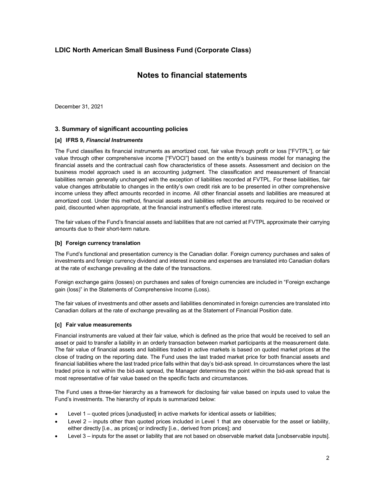# **Notes to financial statements**

December 31, 2021

### **3. Summary of significant accounting policies**

### **[a] IFRS 9,** *Financial Instruments*

The Fund classifies its financial instruments as amortized cost, fair value through profit or loss ["FVTPL"], or fair value through other comprehensive income ["FVOCI"] based on the entity's business model for managing the financial assets and the contractual cash flow characteristics of these assets. Assessment and decision on the business model approach used is an accounting judgment. The classification and measurement of financial liabilities remain generally unchanged with the exception of liabilities recorded at FVTPL. For these liabilities, fair value changes attributable to changes in the entity's own credit risk are to be presented in other comprehensive income unless they affect amounts recorded in income. All other financial assets and liabilities are measured at amortized cost. Under this method, financial assets and liabilities reflect the amounts required to be received or paid, discounted when appropriate, at the financial instrument's effective interest rate.

The fair values of the Fund's financial assets and liabilities that are not carried at FVTPL approximate their carrying amounts due to their short-term nature.

### **[b] Foreign currency translation**

The Fund's functional and presentation currency is the Canadian dollar. Foreign currency purchases and sales of investments and foreign currency dividend and interest income and expenses are translated into Canadian dollars at the rate of exchange prevailing at the date of the transactions.

Foreign exchange gains (losses) on purchases and sales of foreign currencies are included in "Foreign exchange gain (loss)" in the Statements of Comprehensive Income (Loss).

The fair values of investments and other assets and liabilities denominated in foreign currencies are translated into Canadian dollars at the rate of exchange prevailing as at the Statement of Financial Position date.

### **[c] Fair value measurements**

Financial instruments are valued at their fair value, which is defined as the price that would be received to sell an asset or paid to transfer a liability in an orderly transaction between market participants at the measurement date. The fair value of financial assets and liabilities traded in active markets is based on quoted market prices at the close of trading on the reporting date. The Fund uses the last traded market price for both financial assets and financial liabilities where the last traded price falls within that day's bid-ask spread. In circumstances where the last traded price is not within the bid-ask spread, the Manager determines the point within the bid-ask spread that is most representative of fair value based on the specific facts and circumstances.

The Fund uses a three-tier hierarchy as a framework for disclosing fair value based on inputs used to value the Fund's investments. The hierarchy of inputs is summarized below:

- Level 1 quoted prices [unadjusted] in active markets for identical assets or liabilities;
- Level 2 inputs other than quoted prices included in Level 1 that are observable for the asset or liability, either directly [i.e., as prices] or indirectly [i.e., derived from prices]; and
- Level 3 inputs for the asset or liability that are not based on observable market data [unobservable inputs].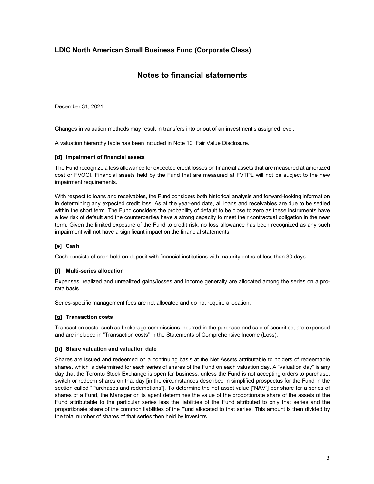# **Notes to financial statements**

December 31, 2021

Changes in valuation methods may result in transfers into or out of an investment's assigned level.

A valuation hierarchy table has been included in Note 10, Fair Value Disclosure.

### **[d] Impairment of financial assets**

The Fund recognize a loss allowance for expected credit losses on financial assets that are measured at amortized cost or FVOCI. Financial assets held by the Fund that are measured at FVTPL will not be subject to the new impairment requirements.

With respect to loans and receivables, the Fund considers both historical analysis and forward-looking information in determining any expected credit loss. As at the year-end date, all loans and receivables are due to be settled within the short term. The Fund considers the probability of default to be close to zero as these instruments have a low risk of default and the counterparties have a strong capacity to meet their contractual obligation in the near term. Given the limited exposure of the Fund to credit risk, no loss allowance has been recognized as any such impairment will not have a significant impact on the financial statements.

### **[e] Cash**

Cash consists of cash held on deposit with financial institutions with maturity dates of less than 30 days.

### **[f] Multi-series allocation**

Expenses, realized and unrealized gains/losses and income generally are allocated among the series on a prorata basis.

Series-specific management fees are not allocated and do not require allocation.

### **[g] Transaction costs**

Transaction costs, such as brokerage commissions incurred in the purchase and sale of securities, are expensed and are included in "Transaction costs" in the Statements of Comprehensive Income (Loss).

### **[h] Share valuation and valuation date**

Shares are issued and redeemed on a continuing basis at the Net Assets attributable to holders of redeemable shares, which is determined for each series of shares of the Fund on each valuation day. A "valuation day" is any day that the Toronto Stock Exchange is open for business, unless the Fund is not accepting orders to purchase, switch or redeem shares on that day [in the circumstances described in simplified prospectus for the Fund in the section called "Purchases and redemptions"]. To determine the net asset value ["NAV"] per share for a series of shares of a Fund, the Manager or its agent determines the value of the proportionate share of the assets of the Fund attributable to the particular series less the liabilities of the Fund attributed to only that series and the proportionate share of the common liabilities of the Fund allocated to that series. This amount is then divided by the total number of shares of that series then held by investors.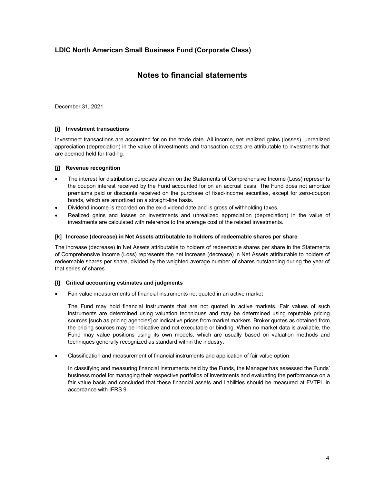# **Notes to financial statements**

December 31, 2021

### **[i] Investment transactions**

Investment transactions are accounted for on the trade date. All income, net realized gains (losses), unrealized appreciation (depreciation) in the value of investments and transaction costs are attributable to investments that are deemed held for trading.

### **[j] Revenue recognition**

- The interest for distribution purposes shown on the Statements of Comprehensive Income (Loss) represents the coupon interest received by the Fund accounted for on an accrual basis. The Fund does not amortize premiums paid or discounts received on the purchase of fixed-income securities, except for zero-coupon bonds, which are amortized on a straight-line basis.
- Dividend income is recorded on the ex-dividend date and is gross of withholding taxes.
- Realized gains and losses on investments and unrealized appreciation (depreciation) in the value of investments are calculated with reference to the average cost of the related investments.

#### **[k] Increase (decrease) in Net Assets attributable to holders of redeemable shares per share**

The increase (decrease) in Net Assets attributable to holders of redeemable shares per share in the Statements of Comprehensive Income (Loss) represents the net increase (decrease) in Net Assets attributable to holders of redeemable shares per share, divided by the weighted average number of shares outstanding during the year of that series of shares.

#### **[l] Critical accounting estimates and judgments**

• Fair value measurements of financial instruments not quoted in an active market

The Fund may hold financial instruments that are not quoted in active markets. Fair values of such instruments are determined using valuation techniques and may be determined using reputable pricing sources [such as pricing agencies] or indicative prices from market markers. Broker quotes as obtained from the pricing sources may be indicative and not executable or binding. When no market data is available, the Fund may value positions using its own models, which are usually based on valuation methods and techniques generally recognized as standard within the industry.

• Classification and measurement of financial instruments and application of fair value option

In classifying and measuring financial instruments held by the Funds, the Manager has assessed the Funds' business model for managing their respective portfolios of investments and evaluating the performance on a fair value basis and concluded that these financial assets and liabilities should be measured at FVTPL in accordance with IFRS 9.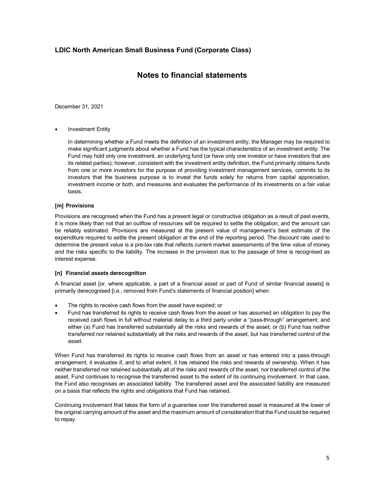# **Notes to financial statements**

December 31, 2021

**Investment Entity** 

In determining whether a Fund meets the definition of an investment entity, the Manager may be required to make significant judgments about whether a Fund has the typical characteristics of an investment entity. The Fund may hold only one investment, an underlying fund (or have only one investor or have investors that are its related parties); however, consistent with the investment entity definition, the Fund primarily obtains funds from one or more investors for the purpose of providing investment management services, commits to its investors that the business purpose is to invest the funds solely for returns from capital appreciation, investment income or both, and measures and evaluates the performance of its investments on a fair value basis.

### **[m] Provisions**

Provisions are recognised when the Fund has a present legal or constructive obligation as a result of past events, it is more likely than not that an outflow of resources will be required to settle the obligation, and the amount can be reliably estimated. Provisions are measured at the present value of management's best estimate of the expenditure required to settle the present obligation at the end of the reporting period. The discount rate used to determine the present value is a pre-tax rate that reflects current market assessments of the time value of money and the risks specific to the liability. The increase in the provision due to the passage of time is recognised as interest expense.

#### **[n] Financial assets derecognition**

A financial asset [or, where applicable, a part of a financial asset or part of Fund of similar financial assets] is primarily derecognised [i.e., removed from Fund's statements of financial position] when:

- The rights to receive cash flows from the asset have expired; or
- Fund has transferred its rights to receive cash flows from the asset or has assumed an obligation to pay the received cash flows in full without material delay to a third party under a "pass-through" arrangement; and either (a) Fund has transferred substantially all the risks and rewards of the asset; or (b) Fund has neither transferred nor retained substantially all the risks and rewards of the asset, but has transferred control of the asset.

When Fund has transferred its rights to receive cash flows from an asset or has entered into a pass-through arrangement, it evaluates if, and to what extent, it has retained the risks and rewards of ownership. When it has neither transferred nor retained substantially all of the risks and rewards of the asset, nor transferred control of the asset, Fund continues to recognise the transferred asset to the extent of its continuing involvement. In that case, the Fund also recognises an associated liability. The transferred asset and the associated liability are measured on a basis that reflects the rights and obligations that Fund has retained.

Continuing involvement that takes the form of a guarantee over the transferred asset is measured at the lower of the original carrying amount of the asset and the maximum amount of consideration that the Fund could be required to repay.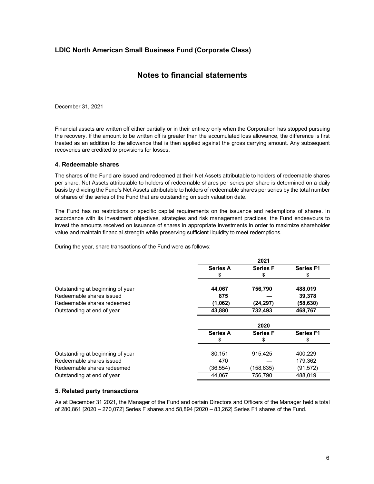# **Notes to financial statements**

December 31, 2021

Financial assets are written off either partially or in their entirety only when the Corporation has stopped pursuing the recovery. If the amount to be written off is greater than the accumulated loss allowance, the difference is first treated as an addition to the allowance that is then applied against the gross carrying amount. Any subsequent recoveries are credited to provisions for losses.

### **4. Redeemable shares**

The shares of the Fund are issued and redeemed at their Net Assets attributable to holders of redeemable shares per share. Net Assets attributable to holders of redeemable shares per series per share is determined on a daily basis by dividing the Fund's Net Assets attributable to holders of redeemable shares per series by the total number of shares of the series of the Fund that are outstanding on such valuation date.

The Fund has no restrictions or specific capital requirements on the issuance and redemptions of shares. In accordance with its investment objectives, strategies and risk management practices, the Fund endeavours to invest the amounts received on issuance of shares in appropriate investments in order to maximize shareholder value and maintain financial strength while preserving sufficient liquidity to meet redemptions.

During the year, share transactions of the Fund were as follows:

|                                  |                 | 2021            |                  |
|----------------------------------|-----------------|-----------------|------------------|
|                                  | <b>Series A</b> | <b>Series F</b> | <b>Series F1</b> |
|                                  | S               | S               | S                |
| Outstanding at beginning of year | 44,067          | 756,790         | 488,019          |
| Redeemable shares issued         | 875             |                 | 39,378           |
| Redeemable shares redeemed       | (1,062)         | (24, 297)       | (58, 630)        |
| Outstanding at end of year       | 43,880          | 732,493         | 468,767          |
|                                  |                 | 2020            |                  |
|                                  | <b>Series A</b> | <b>Series F</b> | <b>Series F1</b> |
|                                  | S               | \$              | \$               |
| Outstanding at beginning of year | 80,151          | 915,425         | 400.229          |
| Redeemable shares issued         | 470             |                 | 179,362          |
| Redeemable shares redeemed       | (36,554)        | (158, 635)      | (91, 572)        |
| Outstanding at end of year       | 44,067          | 756,790         | 488,019          |

### **5. Related party transactions**

As at December 31 2021, the Manager of the Fund and certain Directors and Officers of the Manager held a total of 280,861 [2020 – 270,072] Series F shares and 58,894 [2020 – 83,262] Series F1 shares of the Fund.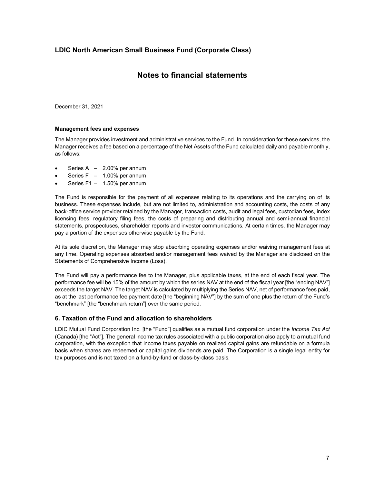# **Notes to financial statements**

December 31, 2021

#### **Management fees and expenses**

The Manager provides investment and administrative services to the Fund. In consideration for these services, the Manager receives a fee based on a percentage of the Net Assets of the Fund calculated daily and payable monthly, as follows:

- Series  $A 2.00\%$  per annum
- Series  $F 1.00\%$  per annum
- Series  $F1 1.50\%$  per annum

The Fund is responsible for the payment of all expenses relating to its operations and the carrying on of its business. These expenses include, but are not limited to, administration and accounting costs, the costs of any back-office service provider retained by the Manager, transaction costs, audit and legal fees, custodian fees, index licensing fees, regulatory filing fees, the costs of preparing and distributing annual and semi-annual financial statements, prospectuses, shareholder reports and investor communications. At certain times, the Manager may pay a portion of the expenses otherwise payable by the Fund.

At its sole discretion, the Manager may stop absorbing operating expenses and/or waiving management fees at any time. Operating expenses absorbed and/or management fees waived by the Manager are disclosed on the Statements of Comprehensive Income (Loss).

The Fund will pay a performance fee to the Manager, plus applicable taxes, at the end of each fiscal year. The performance fee will be 15% of the amount by which the series NAV at the end of the fiscal year [the "ending NAV"] exceeds the target NAV. The target NAV is calculated by multiplying the Series NAV, net of performance fees paid, as at the last performance fee payment date [the "beginning NAV"] by the sum of one plus the return of the Fund's "benchmark" [the "benchmark return"] over the same period.

### **6. Taxation of the Fund and allocation to shareholders**

LDIC Mutual Fund Corporation Inc. [the "Fund"] qualifies as a mutual fund corporation under the *Income Tax Act* (Canada) [the "Act"]. The general income tax rules associated with a public corporation also apply to a mutual fund corporation, with the exception that income taxes payable on realized capital gains are refundable on a formula basis when shares are redeemed or capital gains dividends are paid. The Corporation is a single legal entity for tax purposes and is not taxed on a fund-by-fund or class-by-class basis.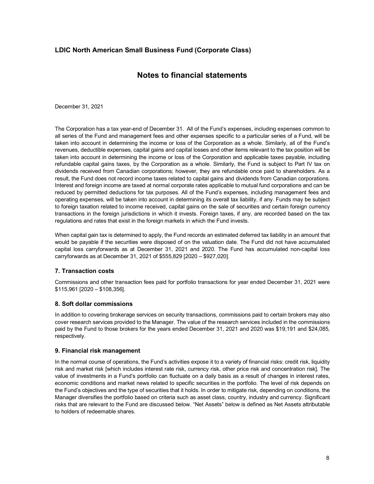# **Notes to financial statements**

December 31, 2021

The Corporation has a tax year-end of December 31. All of the Fund's expenses, including expenses common to all series of the Fund and management fees and other expenses specific to a particular series of a Fund, will be taken into account in determining the income or loss of the Corporation as a whole. Similarly, all of the Fund's revenues, deductible expenses, capital gains and capital losses and other items relevant to the tax position will be taken into account in determining the income or loss of the Corporation and applicable taxes payable, including refundable capital gains taxes, by the Corporation as a whole. Similarly, the Fund is subject to Part IV tax on dividends received from Canadian corporations; however, they are refundable once paid to shareholders. As a result, the Fund does not record income taxes related to capital gains and dividends from Canadian corporations. Interest and foreign income are taxed at normal corporate rates applicable to mutual fund corporations and can be reduced by permitted deductions for tax purposes. All of the Fund's expenses, including management fees and operating expenses, will be taken into account in determining its overall tax liability, if any. Funds may be subject to foreign taxation related to income received, capital gains on the sale of securities and certain foreign currency transactions in the foreign jurisdictions in which it invests. Foreign taxes, if any, are recorded based on the tax regulations and rates that exist in the foreign markets in which the Fund invests.

When capital gain tax is determined to apply, the Fund records an estimated deferred tax liability in an amount that would be payable if the securities were disposed of on the valuation date. The Fund did not have accumulated capital loss carryforwards as at December 31, 2021 and 2020. The Fund has accumulated non-capital loss carryforwards as at December 31, 2021 of \$555,829 [2020 – \$927,020].

### **7. Transaction costs**

Commissions and other transaction fees paid for portfolio transactions for year ended December 31, 2021 were \$115,961 [2020 – \$108,356].

### **8. Soft dollar commissions**

In addition to covering brokerage services on security transactions, commissions paid to certain brokers may also cover research services provided to the Manager. The value of the research services included in the commissions paid by the Fund to those brokers for the years ended December 31, 2021 and 2020 was \$19,191 and \$24,085, respectively.

### **9. Financial risk management**

In the normal course of operations, the Fund's activities expose it to a variety of financial risks: credit risk, liquidity risk and market risk [which includes interest rate risk, currency risk, other price risk and concentration risk]. The value of investments in a Fund's portfolio can fluctuate on a daily basis as a result of changes in interest rates, economic conditions and market news related to specific securities in the portfolio. The level of risk depends on the Fund's objectives and the type of securities that it holds. In order to mitigate risk, depending on conditions, the Manager diversifies the portfolio based on criteria such as asset class, country, industry and currency. Significant risks that are relevant to the Fund are discussed below. "Net Assets" below is defined as Net Assets attributable to holders of redeemable shares.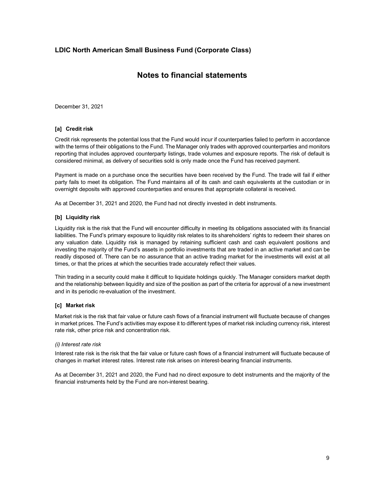# **Notes to financial statements**

December 31, 2021

### **[a] Credit risk**

Credit risk represents the potential loss that the Fund would incur if counterparties failed to perform in accordance with the terms of their obligations to the Fund. The Manager only trades with approved counterparties and monitors reporting that includes approved counterparty listings, trade volumes and exposure reports. The risk of default is considered minimal, as delivery of securities sold is only made once the Fund has received payment.

Payment is made on a purchase once the securities have been received by the Fund. The trade will fail if either party fails to meet its obligation. The Fund maintains all of its cash and cash equivalents at the custodian or in overnight deposits with approved counterparties and ensures that appropriate collateral is received.

As at December 31, 2021 and 2020, the Fund had not directly invested in debt instruments.

### **[b] Liquidity risk**

Liquidity risk is the risk that the Fund will encounter difficulty in meeting its obligations associated with its financial liabilities. The Fund's primary exposure to liquidity risk relates to its shareholders' rights to redeem their shares on any valuation date. Liquidity risk is managed by retaining sufficient cash and cash equivalent positions and investing the majority of the Fund's assets in portfolio investments that are traded in an active market and can be readily disposed of. There can be no assurance that an active trading market for the investments will exist at all times, or that the prices at which the securities trade accurately reflect their values.

Thin trading in a security could make it difficult to liquidate holdings quickly. The Manager considers market depth and the relationship between liquidity and size of the position as part of the criteria for approval of a new investment and in its periodic re-evaluation of the investment.

### **[c] Market risk**

Market risk is the risk that fair value or future cash flows of a financial instrument will fluctuate because of changes in market prices. The Fund's activities may expose it to different types of market risk including currency risk, interest rate risk, other price risk and concentration risk.

### *(i) Interest rate risk*

Interest rate risk is the risk that the fair value or future cash flows of a financial instrument will fluctuate because of changes in market interest rates. Interest rate risk arises on interest-bearing financial instruments.

As at December 31, 2021 and 2020, the Fund had no direct exposure to debt instruments and the majority of the financial instruments held by the Fund are non-interest bearing.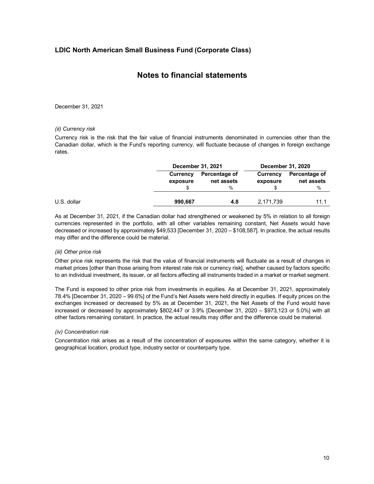# **Notes to financial statements**

December 31, 2021

### *(ii) Currency risk*

Currency risk is the risk that the fair value of financial instruments denominated in currencies other than the Canadian dollar, which is the Fund's reporting currency, will fluctuate because of changes in foreign exchange rates.

|             |                             | December 31, 2021                   |                             | December 31, 2020                   |
|-------------|-----------------------------|-------------------------------------|-----------------------------|-------------------------------------|
|             | <b>Currency</b><br>exposure | Percentage of<br>net assets<br>$\%$ | <b>Currency</b><br>exposure | Percentage of<br>net assets<br>$\%$ |
| U.S. dollar | 990,667                     | 4.8                                 | 2,171,739                   | 11.1                                |

As at December 31, 2021, if the Canadian dollar had strengthened or weakened by 5% in relation to all foreign currencies represented in the portfolio, with all other variables remaining constant, Net Assets would have decreased or increased by approximately \$49,533 [December 31, 2020 – \$108,587]. In practice, the actual results may differ and the difference could be material.

### *(iii) Other price risk*

Other price risk represents the risk that the value of financial instruments will fluctuate as a result of changes in market prices [other than those arising from interest rate risk or currency risk], whether caused by factors specific to an individual investment, its issuer, or all factors affecting all instruments traded in a market or market segment.

The Fund is exposed to other price risk from investments in equities. As at December 31, 2021, approximately 78.4% [December 31, 2020 – 99.6%] of the Fund's Net Assets were held directly in equities. If equity prices on the exchanges increased or decreased by 5% as at December 31, 2021, the Net Assets of the Fund would have increased or decreased by approximately \$802,447 or 3.9% [December 31, 2020 – \$973,123 or 5.0%] with all other factors remaining constant. In practice, the actual results may differ and the difference could be material.

### *(iv) Concentration risk*

Concentration risk arises as a result of the concentration of exposures within the same category, whether it is geographical location, product type, industry sector or counterparty type.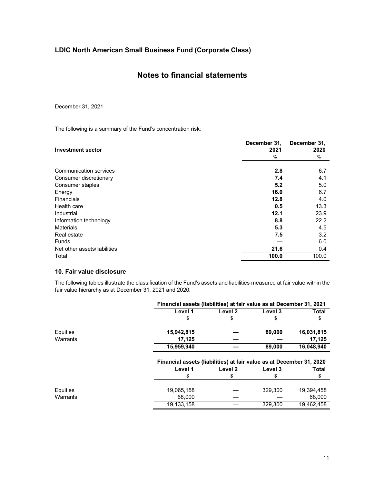# **Notes to financial statements**

December 31, 2021

The following is a summary of the Fund's concentration risk:

| <b>Investment sector</b>      | December 31,<br>2021 | December 31,<br>2020 |
|-------------------------------|----------------------|----------------------|
|                               | $\frac{0}{0}$        | %                    |
| <b>Communication services</b> | 2.8                  | 6.7                  |
| Consumer discretionary        | 7.4                  | 4.1                  |
| Consumer staples              | 5.2                  | 5.0                  |
| Energy                        | 16.0                 | 6.7                  |
| Financials                    | 12.8                 | 4.0                  |
| Health care                   | 0.5                  | 13.3                 |
| Industrial                    | 12.1                 | 23.9                 |
| Information technology        | 8.8                  | 22.2                 |
| <b>Materials</b>              | 5.3                  | 4.5                  |
| Real estate                   | 7.5                  | 3.2                  |
| Funds                         |                      | 6.0                  |
| Net other assets/liabilities  | 21.6                 | 0.4                  |
| Total                         | 100.0                | 100.0                |

### **10. Fair value disclosure**

The following tables illustrate the classification of the Fund's assets and liabilities measured at fair value within the fair value hierarchy as at December 31, 2021 and 2020:

|          |                                                                      | Financial assets (liabilities) at fair value as at December 31, 2021 |         |            |  |
|----------|----------------------------------------------------------------------|----------------------------------------------------------------------|---------|------------|--|
|          | Level 1                                                              | Level 2                                                              | Level 3 | Total      |  |
|          | Ψ                                                                    | P                                                                    |         | \$         |  |
| Equities | 15,942,815                                                           |                                                                      | 89,000  | 16,031,815 |  |
| Warrants | 17,125                                                               |                                                                      |         | 17,125     |  |
|          | 15,959,940                                                           |                                                                      | 89,000  | 16,048,940 |  |
|          | Financial assets (liabilities) at fair value as at December 31, 2020 |                                                                      |         |            |  |
|          | Level 1                                                              | Level 2                                                              | Level 3 | Total      |  |
|          | \$                                                                   | \$                                                                   | \$      | \$         |  |
|          |                                                                      |                                                                      |         |            |  |
| Equities | 19,065,158                                                           |                                                                      | 329.300 | 19,394,458 |  |
| Warrants | 68,000                                                               |                                                                      |         | 68,000     |  |
|          | 19.133.158                                                           |                                                                      | 329.300 | 19,462,458 |  |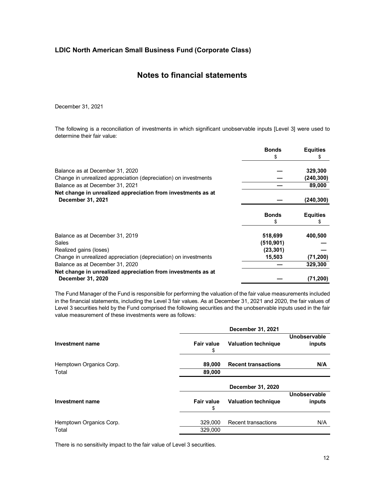# **Notes to financial statements**

December 31, 2021

The following is a reconciliation of investments in which significant unobservable inputs [Level 3] were used to determine their fair value:

|                                                                                   | <b>Bonds</b>       | <b>Equities</b>       |
|-----------------------------------------------------------------------------------|--------------------|-----------------------|
|                                                                                   | \$                 | S.                    |
| Balance as at December 31, 2020                                                   |                    | 329,300               |
| Change in unrealized appreciation (depreciation) on investments                   |                    | (240,300)             |
| Balance as at December 31, 2021                                                   |                    | 89,000                |
| Net change in unrealized appreciation from investments as at<br>December 31, 2021 |                    | (240, 300)            |
|                                                                                   | <b>Bonds</b><br>\$ | <b>Equities</b><br>\$ |
| Balance as at December 31, 2019                                                   | 518,699            | 400,500               |
| Sales                                                                             | (510,901)          |                       |
| Realized gains (loses)                                                            | (23, 301)          |                       |
| Change in unrealized appreciation (depreciation) on investments                   | 15,503             | (71, 200)             |
| Balance as at December 31, 2020                                                   |                    | 329,300               |
| Net change in unrealized appreciation from investments as at                      |                    |                       |
| December 31, 2020                                                                 |                    | (71, 200)             |

The Fund Manager of the Fund is responsible for performing the valuation of the fair value measurements included in the financial statements, including the Level 3 fair values. As at December 31, 2021 and 2020, the fair values of Level 3 securities held by the Fund comprised the following securities and the unobservable inputs used in the fair value measurement of these investments were as follows:

|                         |                   | December 31, 2021          |              |
|-------------------------|-------------------|----------------------------|--------------|
|                         |                   |                            | Unobservable |
| Investment name         | <b>Fair value</b> | <b>Valuation technique</b> | inputs       |
|                         | \$                |                            |              |
| Hemptown Organics Corp. | 89,000            | <b>Recent transactions</b> | N/A          |
| Total                   | 89,000            |                            |              |
|                         |                   |                            |              |
|                         |                   | December 31, 2020          |              |
|                         |                   |                            | Unobservable |
| <b>Investment name</b>  | <b>Fair value</b> | <b>Valuation technique</b> | inputs       |
|                         | \$                |                            |              |
|                         |                   | <b>Recent transactions</b> | N/A          |
| Hemptown Organics Corp. | 329,000           |                            |              |
| Total                   | 329,000           |                            |              |

There is no sensitivity impact to the fair value of Level 3 securities.